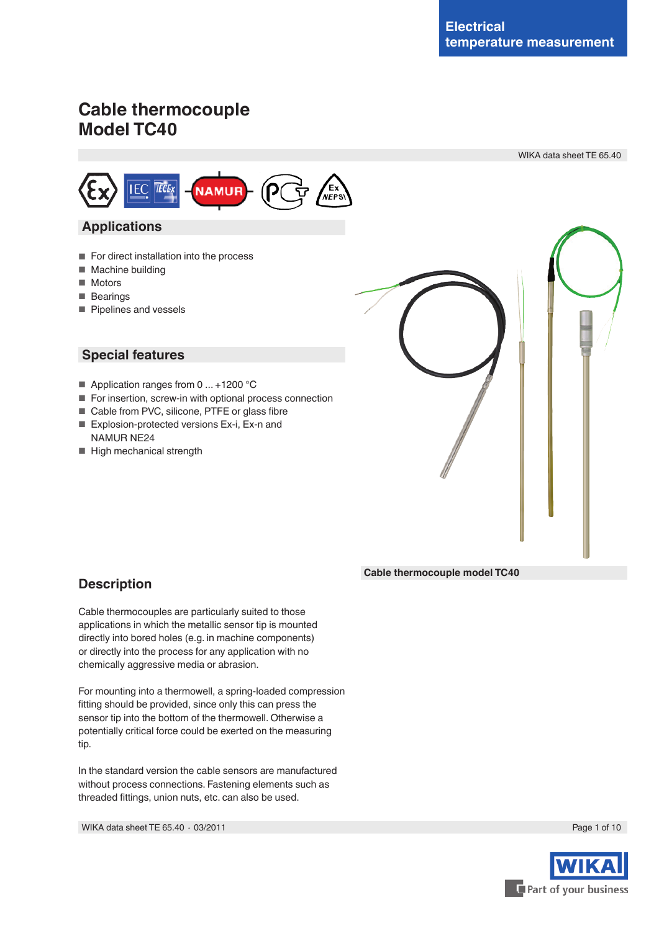# **Cable thermocouple Model TC40**

**TECEX** 

**IEC** 

 **Applications**

■ Machine building

■ Pipelines and vessels

 **Special features**

NAMUR NE24

■ High mechanical strength

■ Motors ■ Bearings



# **Description**

Cable thermocouples are particularly suited to those applications in which the metallic sensor tip is mounted directly into bored holes (e.g. in machine components) or directly into the process for any application with no chemically aggressive media or abrasion.

For mounting into a thermowell, a spring-loaded compression fitting should be provided, since only this can press the sensor tip into the bottom of the thermowell. Otherwise a potentially critical force could be exerted on the measuring tip.

In the standard version the cable sensors are manufactured without process connections. Fastening elements such as threaded fittings, union nuts, etc. can also be used.

WIKA data sheet TE 65.40 ⋅ 03/2011 Page 1 of 10

**Cable thermocouple model TC40**



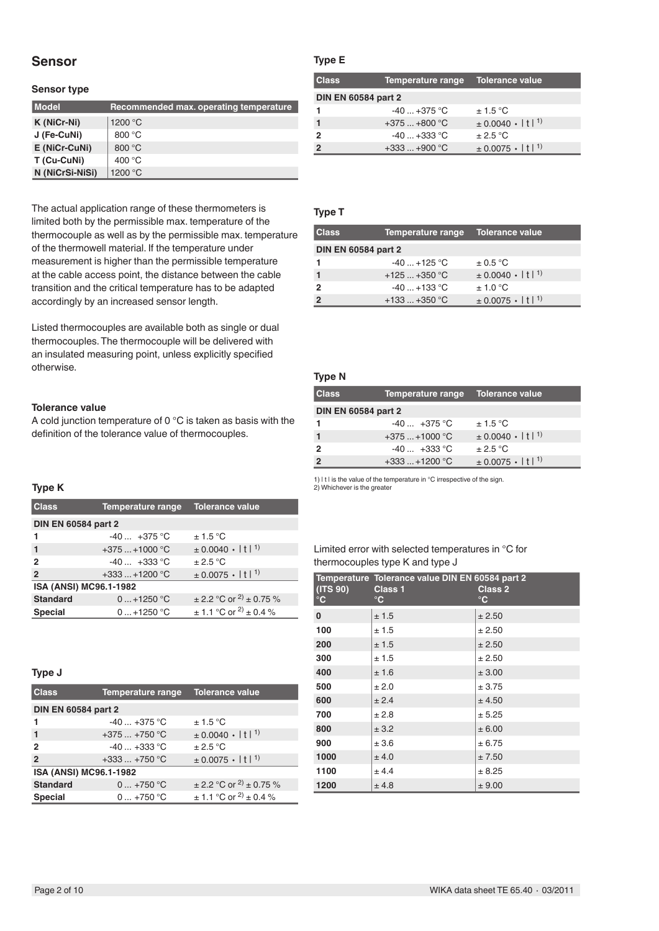# **Sensor**

#### **Sensor type**

| <b>Model</b>    | Recommended max. operating temperature |
|-----------------|----------------------------------------|
| K (NiCr-Ni)     | 1200 °C                                |
| J (Fe-CuNi)     | 800 $\degree$ C                        |
| E (NiCr-CuNi)   | 800 $\degree$ C                        |
| T (Cu-CuNi)     | 400 $\degree$ C                        |
| N (NiCrSi-NiSi) | 1200 °C                                |

The actual application range of these thermometers is limited both by the permissible max. temperature of the thermocouple as well as by the permissible max. temperature of the thermowell material. If the temperature under measurement is higher than the permissible temperature at the cable access point, the distance between the cable transition and the critical temperature has to be adapted accordingly by an increased sensor length.

Listed thermocouples are available both as single or dual thermocouples.The thermocouple will be delivered with an insulated measuring point, unless explicitly specified otherwise.

### **Tolerance value**

A cold junction temperature of 0 °C is taken as basis with the definition of the tolerance value of thermocouples.

# **Type K**

| <b>Class</b>               | <b>Temperature range</b> | <b>Tolerance value</b>                     |  |
|----------------------------|--------------------------|--------------------------------------------|--|
| <b>DIN EN 60584 part 2</b> |                          |                                            |  |
|                            | $-40 +375$ °C            | ± 1.5 °C                                   |  |
| 1                          | $+375+1000$ °C           | $\pm 0.0040 \cdot  t ^{1}$                 |  |
| 2                          | $-40 +333$ °C            | $+2.5\,^{\circ}$ C                         |  |
| $\overline{2}$             | $+333+1200$ °C           | $\pm$ 0.0075 $\cdot$   t  <sup>1)</sup>    |  |
| ISA (ANSI) MC96.1-1982     |                          |                                            |  |
| <b>Standard</b>            | $0+1250$ °C              | $\pm$ 2.2 °C or <sup>2)</sup> $\pm$ 0.75 % |  |
| <b>Special</b>             | $0+1250 °C$              | $\pm$ 1.1 °C or <sup>2)</sup> $\pm$ 0.4 %  |  |

#### **Type J**

| <b>Class</b>               | Temperature range | Tolerance value                            |  |
|----------------------------|-------------------|--------------------------------------------|--|
| <b>DIN EN 60584 part 2</b> |                   |                                            |  |
|                            | $-40+375$ °C      | ± 1.5 °C                                   |  |
| $\mathbf{1}$               | $+375+750$ °C     | $\pm 0.0040 \cdot  t ^{1}$                 |  |
| $\overline{2}$             | $-40+333$ °C      | $\pm 2.5$ °C                               |  |
| $\overline{2}$             | $+333+750$ °C     | $\pm$ 0.0075 ·   t  <sup>1)</sup>          |  |
| ISA (ANSI) MC96.1-1982     |                   |                                            |  |
| <b>Standard</b>            | $0 + 750$ °C      | $\pm$ 2.2 °C or <sup>2)</sup> $\pm$ 0.75 % |  |
| <b>Special</b>             | $0+750 °C$        | $\pm$ 1.1 °C or <sup>2</sup> ) $\pm$ 0.4 % |  |

### **Type E**

| <b>Class</b>               | <b>Temperature range</b> | <b>Tolerance value</b>                   |
|----------------------------|--------------------------|------------------------------------------|
| <b>DIN EN 60584 part 2</b> |                          |                                          |
|                            | $-40+375$ °C             | ± 1.5 °C                                 |
|                            | $+375+800$ °C            | $\pm$ 0.0040 $\cdot$   t   <sup>1)</sup> |
| 2                          | $-40+333$ °C             | $\pm 2.5$ °C                             |
|                            | $+333+900$ °C            | $\pm$ 0.0075 $\cdot$   t  <sup>1)</sup>  |

#### **Type T**

| <b>Class</b>               | Temperature range | Tolerance value                         |
|----------------------------|-------------------|-----------------------------------------|
| <b>DIN EN 60584 part 2</b> |                   |                                         |
|                            | $-40+125$ °C      | $\pm$ 0.5 °C                            |
|                            | $+125+350$ °C     | $\pm$ 0.0040 $\cdot$   t  <sup>1)</sup> |
| 2                          | $-40+133$ °C      | $+1.0\degree C$                         |
|                            | $+133+350$ °C     | $\pm$ 0.0075 $\cdot$   t  <sup>1)</sup> |

### **Type N**

| <b>Class</b>               | Temperature range | <b>Tolerance value</b>                  |
|----------------------------|-------------------|-----------------------------------------|
| <b>DIN EN 60584 part 2</b> |                   |                                         |
|                            | $-40 +375$ °C     | $\pm$ 1.5 °C                            |
|                            | $+375+1000$ °C    | $\pm$ 0.0040 $\cdot$   t  <sup>1)</sup> |
|                            | $-40 +333$ °C     | $+2.5\degree$ C                         |
|                            | $+333+1200$ °C    | $\pm$ 0.0075 $\cdot$   t  <sup>1)</sup> |

1) | t | is the value of the temperature in °C irrespective of the sign. 2) Whichever is the greater

#### Limited error with selected temperatures in °C for thermocouples type K and type J

| (ITS 90)<br>$^\circ \text{C}$ | Temperature Tolerance value DIN EN 60584 part 2<br><b>Class 2</b><br><b>Class 1</b><br>$^{\circ}$ C<br>$^{\circ}$ C |        |  |
|-------------------------------|---------------------------------------------------------------------------------------------------------------------|--------|--|
| 0                             | ± 1.5                                                                                                               | ± 2.50 |  |
| 100                           | ± 1.5                                                                                                               | ± 2.50 |  |
| 200                           | ± 1.5                                                                                                               | ± 2.50 |  |
| 300                           | ± 1.5                                                                                                               | ± 2.50 |  |
| 400                           | ±1.6                                                                                                                | ± 3.00 |  |
| 500                           | ± 2.0                                                                                                               | ± 3.75 |  |
| 600                           | ± 2.4                                                                                                               | ± 4.50 |  |
| 700                           | ± 2.8                                                                                                               | ± 5.25 |  |
| 800                           | ± 3.2                                                                                                               | ± 6.00 |  |
| 900                           | ± 3.6                                                                                                               | ± 6.75 |  |
| 1000                          | ± 4.0                                                                                                               | ± 7.50 |  |
| 1100                          | ± 4.4                                                                                                               | ± 8.25 |  |
| 1200                          | ± 4.8                                                                                                               | ± 9.00 |  |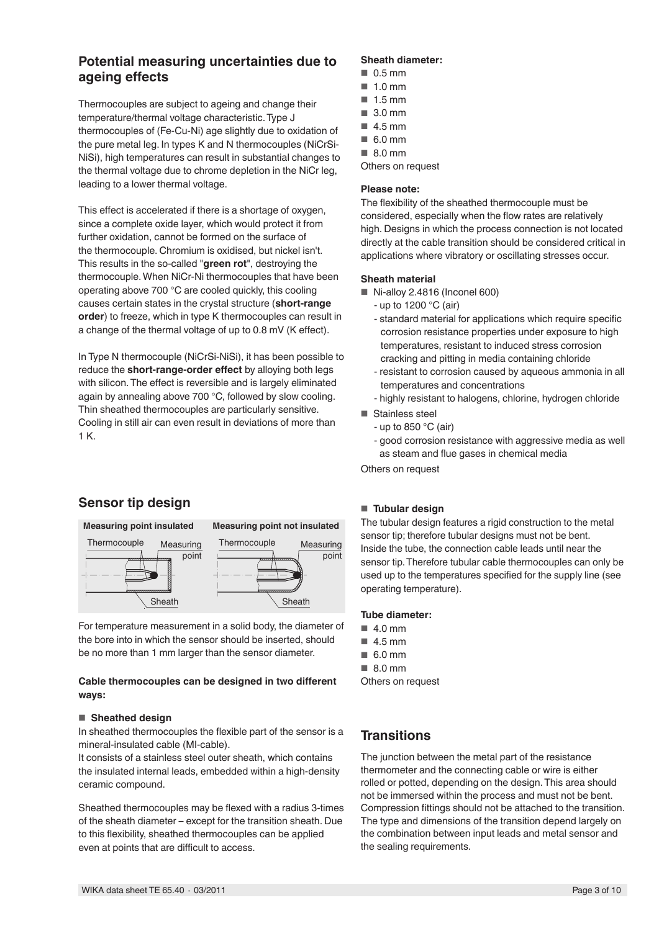# **Potential measuring uncertainties due to ageing effects**

Thermocouples are subject to ageing and change their temperature/thermal voltage characteristic.Type J thermocouples of (Fe-Cu-Ni) age slightly due to oxidation of the pure metal leg. In types K and N thermocouples (NiCrSi-NiSi), high temperatures can result in substantial changes to the thermal voltage due to chrome depletion in the NiCr leg, leading to a lower thermal voltage.

This effect is accelerated if there is a shortage of oxygen, since a complete oxide layer, which would protect it from further oxidation, cannot be formed on the surface of the thermocouple. Chromium is oxidised, but nickel isn't. This results in the so-called "**green rot**", destroying the thermocouple.When NiCr-Ni thermocouples that have been operating above 700 °C are cooled quickly, this cooling causes certain states in the crystal structure (**short-range order**) to freeze, which in type K thermocouples can result in a change of the thermal voltage of up to 0.8 mV (K effect).

In Type N thermocouple (NiCrSi-NiSi), it has been possible to reduce the **short-range-order effect** by alloying both legs with silicon.The effect is reversible and is largely eliminated again by annealing above 700 °C, followed by slow cooling. Thin sheathed thermocouples are particularly sensitive. Cooling in still air can even result in deviations of more than 1 K.

# **Sensor tip design**



For temperature measurement in a solid body, the diameter of the bore into in which the sensor should be inserted, should be no more than 1 mm larger than the sensor diameter.

### **Cable thermocouples can be designed in two different ways:**

### ■ **Sheathed design**

In sheathed thermocouples the flexible part of the sensor is a mineral-insulated cable (MI-cable).

It consists of a stainless steel outer sheath, which contains the insulated internal leads, embedded within a high-density ceramic compound.

Sheathed thermocouples may be flexed with a radius 3-times of the sheath diameter – except for the transition sheath. Due to this flexibility, sheathed thermocouples can be applied even at points that are difficult to access.

### **Sheath diameter:**

- 0.5 mm
- 1.0 mm
- 1.5 mm
- 3.0 mm
- 4.5 mm
- 6.0 mm
- 8.0 mm
- Others on request

# **Please note:**

The flexibility of the sheathed thermocouple must be considered, especially when the flow rates are relatively high. Designs in which the process connection is not located directly at the cable transition should be considered critical in applications where vibratory or oscillating stresses occur.

### **Sheath material**

- Ni-alloy 2.4816 (Inconel 600)
	- up to 1200 °C (air)
	- standard material for applications which require specific corrosion resistance properties under exposure to high temperatures, resistant to induced stress corrosion cracking and pitting in media containing chloride
	- resistant to corrosion caused by aqueous ammonia in all temperatures and concentrations
	- highly resistant to halogens, chlorine, hydrogen chloride
- Stainless steel
	- up to 850 °C (air)
	- good corrosion resistance with aggressive media as well as steam and flue gases in chemical media

Others on request

### ■ **Tubular design**

The tubular design features a rigid construction to the metal sensor tip; therefore tubular designs must not be bent. Inside the tube, the connection cable leads until near the sensor tip. Therefore tubular cable thermocouples can only be used up to the temperatures specified for the supply line (see operating temperature).

### **Tube diameter:**

- $\blacksquare$  4.0 mm
- 4.5 mm
- 6.0 mm
- 8.0 mm

Others on request

# **Transitions**

The junction between the metal part of the resistance thermometer and the connecting cable or wire is either rolled or potted, depending on the design.This area should not be immersed within the process and must not be bent. Compression fittings should not be attached to the transition. The type and dimensions of the transition depend largely on the combination between input leads and metal sensor and the sealing requirements.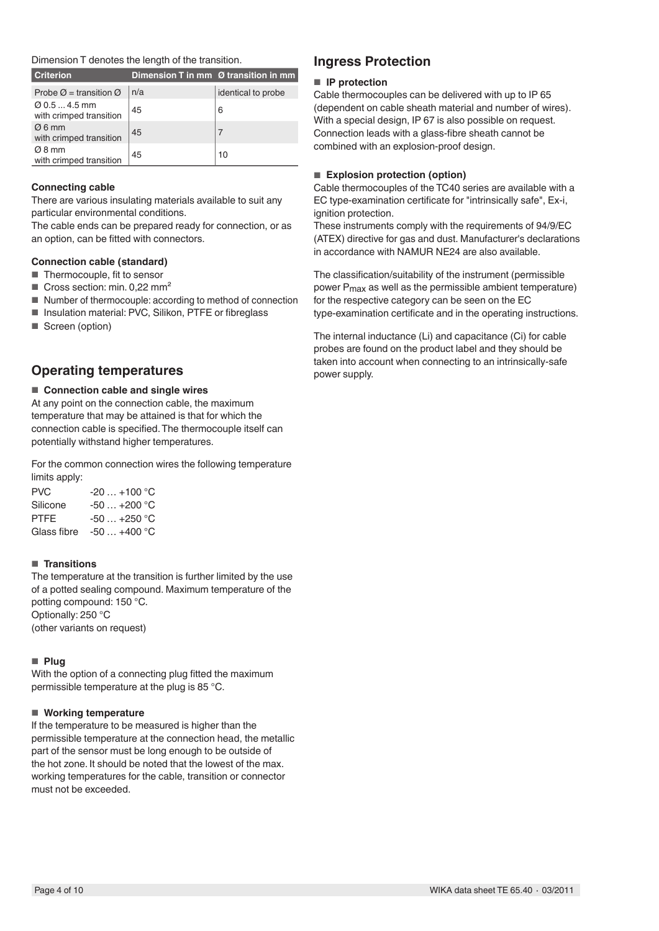### Dimension T denotes the length of the transition.

| <b>Criterion</b>                                     |     | Dimension T in mm $\varnothing$ transition in mm |
|------------------------------------------------------|-----|--------------------------------------------------|
| Probe $\varnothing$ = transition $\varnothing$       | n/a | identical to probe                               |
| $\varnothing$ 0.5  4.5 mm<br>with crimped transition | 45  | 6                                                |
| $\varnothing$ 6 mm<br>with crimped transition        | 45  |                                                  |
| $\varnothing$ 8 mm<br>with crimped transition        | 45  | 10                                               |

### **Connecting cable**

There are various insulating materials available to suit any particular environmental conditions.

The cable ends can be prepared ready for connection, or as an option, can be fitted with connectors.

### **Connection cable (standard)**

- Thermocouple, fit to sensor
- Cross section: min. 0,22 mm<sup>2</sup>
- Number of thermocouple: according to method of connection
- Insulation material: PVC, Silikon, PTFE or fibreglass
- Screen (option)

# **Operating temperatures**

#### ■ **Connection cable and single wires**

At any point on the connection cable, the maximum temperature that may be attained is that for which the connection cable is specified.The thermocouple itself can potentially withstand higher temperatures.

For the common connection wires the following temperature limits apply:

| PVC.     | $-20+100$ °C             |
|----------|--------------------------|
| Silicone | $-50+200$ °C             |
| PTFE     | $-50+250$ °C             |
|          | Glass fibre $-50+400$ °C |

#### ■ **Transitions**

The temperature at the transition is further limited by the use of a potted sealing compound. Maximum temperature of the potting compound: 150 °C. Optionally: 250 °C (other variants on request)

#### ■ **Plug**

With the option of a connecting plug fitted the maximum permissible temperature at the plug is 85 °C.

#### ■ **Working temperature**

If the temperature to be measured is higher than the permissible temperature at the connection head, the metallic part of the sensor must be long enough to be outside of the hot zone. It should be noted that the lowest of the max. working temperatures for the cable, transition or connector must not be exceeded.

# **Ingress Protection**

#### ■ **IP** protection

Cable thermocouples can be delivered with up to IP 65 (dependent on cable sheath material and number of wires). With a special design, IP 67 is also possible on request. Connection leads with a glass-fibre sheath cannot be combined with an explosion-proof design.

#### ■ **Explosion protection (option)**

Cable thermocouples of the TC40 series are available with a EC type-examination certificate for "intrinsically safe", Ex-i, ignition protection.

These instruments comply with the requirements of 94/9/EC (ATEX) directive for gas and dust. Manufacturer's declarations in accordance with NAMUR NE24 are also available.

The classification/suitability of the instrument (permissible power P<sub>max</sub> as well as the permissible ambient temperature) for the respective category can be seen on the EC type-examination certificate and in the operating instructions.

The internal inductance (Li) and capacitance (Ci) for cable probes are found on the product label and they should be taken into account when connecting to an intrinsically-safe power supply.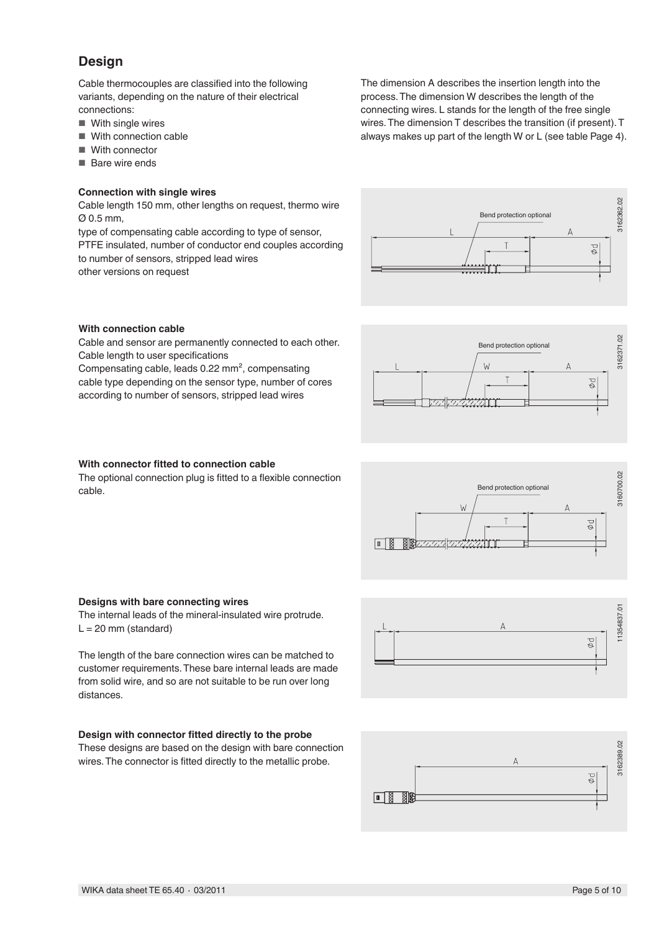# **Design**

Cable thermocouples are classified into the following variants, depending on the nature of their electrical connections:

- With single wires
- With connection cable
- With connector
- Bare wire ends

#### **Connection with single wires**

Cable length 150 mm, other lengths on request, thermo wire Ø 0.5 mm,

type of compensating cable according to type of sensor, PTFE insulated, number of conductor end couples according to number of sensors, stripped lead wires other versions on request





#### **With connection cable**

Cable and sensor are permanently connected to each other. Cable length to user specifications

Compensating cable, leads 0.22 mm², compensating cable type depending on the sensor type, number of cores according to number of sensors, stripped lead wires



### **With connector fitted to connection cable**

The optional connection plug is fitted to a flexible connection cable.



#### **Designs with bare connecting wires**

The internal leads of the mineral-insulated wire protrude.  $L = 20$  mm (standard)

The length of the bare connection wires can be matched to customer requirements.These bare internal leads are made from solid wire, and so are not suitable to be run over long distances.

#### **Design with connector fitted directly to the probe**

These designs are based on the design with bare connection wires.The connector is fitted directly to the metallic probe.



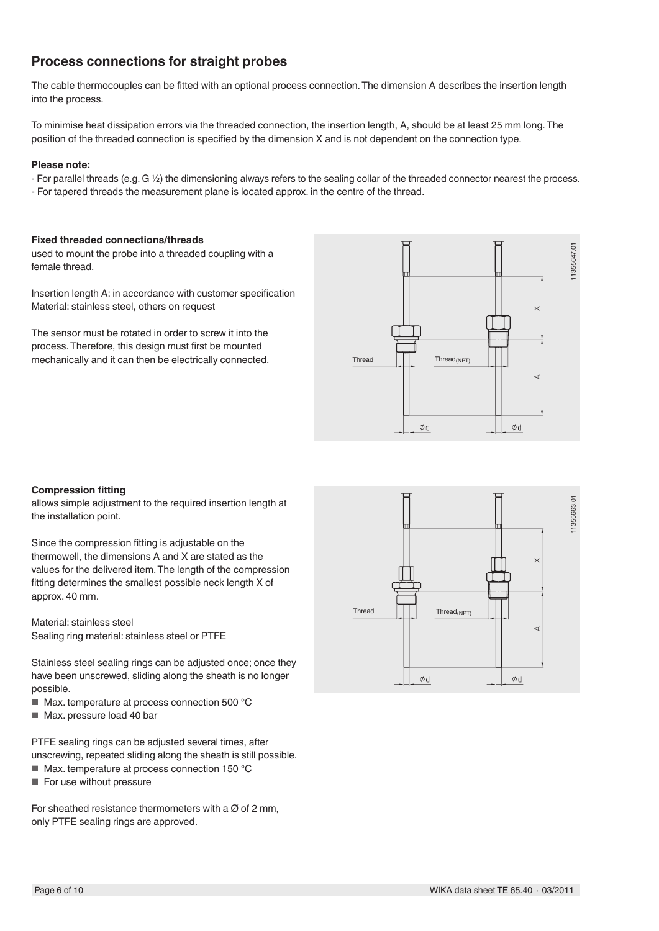# **Process connections for straight probes**

The cable thermocouples can be fitted with an optional process connection.The dimension A describes the insertion length into the process.

To minimise heat dissipation errors via the threaded connection, the insertion length, A, should be at least 25 mm long.The position of the threaded connection is specified by the dimension X and is not dependent on the connection type.

#### **Please note:**

- For parallel threads (e.g. G ½) the dimensioning always refers to the sealing collar of the threaded connector nearest the process.
- For tapered threads the measurement plane is located approx. in the centre of the thread.

#### **Fixed threaded connections/threads**

used to mount the probe into a threaded coupling with a female thread.

Insertion length A: in accordance with customer specification Material: stainless steel, others on request

The sensor must be rotated in order to screw it into the process.Therefore, this design must first be mounted mechanically and it can then be electrically connected.



#### **Compression fitting**

allows simple adjustment to the required insertion length at the installation point.

Since the compression fitting is adjustable on the thermowell, the dimensions A and X are stated as the values for the delivered item.The length of the compression fitting determines the smallest possible neck length X of approx. 40 mm.

Material: stainless steel Sealing ring material: stainless steel or PTFE

Stainless steel sealing rings can be adjusted once; once they have been unscrewed, sliding along the sheath is no longer possible.

- Max. temperature at process connection 500 °C
- Max. pressure load 40 bar

PTFE sealing rings can be adjusted several times, after unscrewing, repeated sliding along the sheath is still possible.

- Max. temperature at process connection 150 °C
- For use without pressure

For sheathed resistance thermometers with a  $\varnothing$  of 2 mm. only PTFE sealing rings are approved.

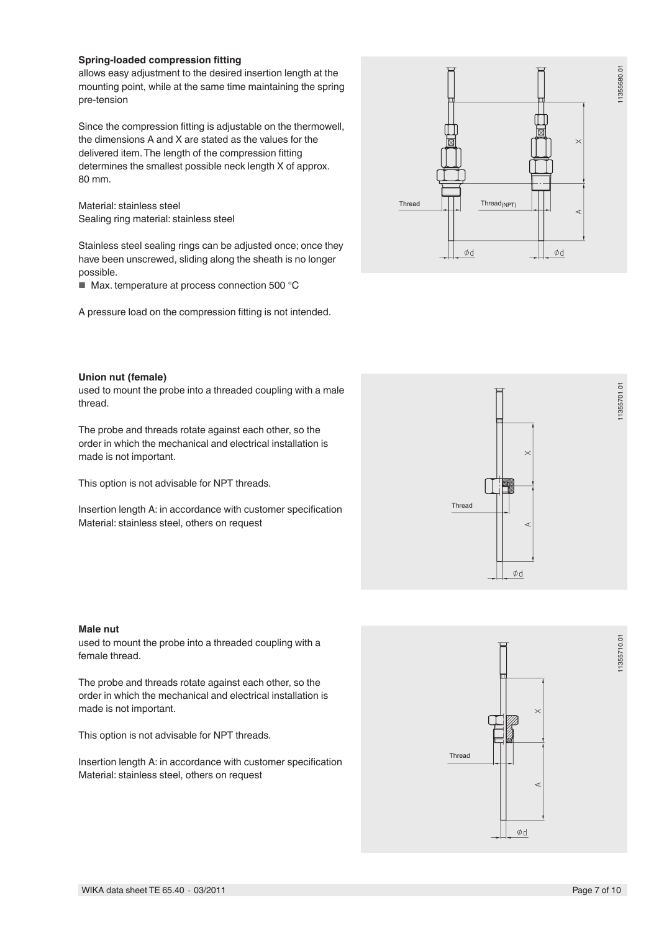#### **Spring-loaded compression fitting**

allows easy adjustment to the desired insertion length at the mounting point, while at the same time maintaining the spring pre-tension

Since the compression fitting is adjustable on the thermowell, the dimensions A and X are stated as the values for the delivered item.The length of the compression fitting determines the smallest possible neck length X of approx. 80 mm.

Material: stainless steel Sealing ring material: stainless steel

Stainless steel sealing rings can be adjusted once; once they have been unscrewed, sliding along the sheath is no longer possible.

■ Max. temperature at process connection 500 °C

A pressure load on the compression fitting is not intended.



#### **Union nut (female)**

used to mount the probe into a threaded coupling with a male thread.

The probe and threads rotate against each other, so the order in which the mechanical and electrical installation is made is not important.

This option is not advisable for NPT threads.

Insertion length A: in accordance with customer specification Material: stainless steel, others on request



used to mount the probe into a threaded coupling with a female thread.

The probe and threads rotate against each other, so the order in which the mechanical and electrical installation is made is not important.

This option is not advisable for NPT threads.

Insertion length A: in accordance with customer specification Material: stainless steel, others on request



Ød

Thread

11355701.01

11355701.01

11355710.01

11355710.01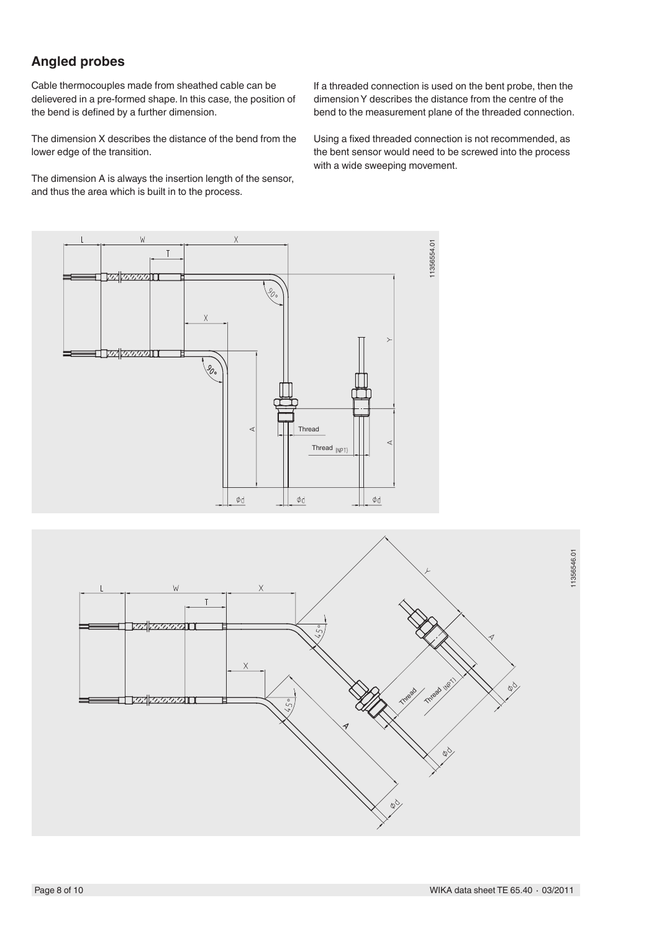# **Angled probes**

Cable thermocouples made from sheathed cable can be delievered in a pre-formed shape. In this case, the position of the bend is defined by a further dimension.

The dimension X describes the distance of the bend from the lower edge of the transition.

The dimension A is always the insertion length of the sensor, and thus the area which is built in to the process.

If a threaded connection is used on the bent probe, then the dimensionY describes the distance from the centre of the bend to the measurement plane of the threaded connection.

Using a fixed threaded connection is not recommended, as the bent sensor would need to be screwed into the process with a wide sweeping movement.



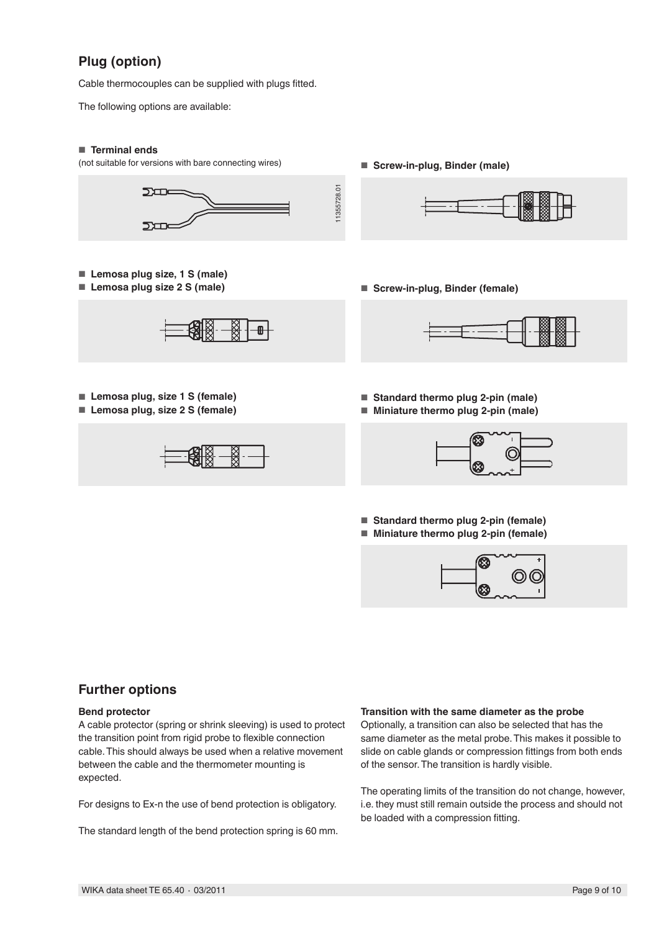# **Plug (option)**

Cable thermocouples can be supplied with plugs fitted.

The following options are available:

#### ■ **Terminal ends**

(not suitable for versions with bare connecting wires)



- **Lemosa plug size, 1 S (male)**
- **Lemosa plug size 2 S (male)**



- **Lemosa plug, size 1 S (female)**
- **Lemosa plug, size 2 S (female)**



■ **Screw-in-plug, Binder (male)**



■ **Screw-in-plug, Binder (female)**



- **Standard thermo plug 2-pin (male)**
- **Miniature thermo plug 2-pin (male)**



■ **Standard thermo plug 2-pin (female)** ■ Miniature thermo plug 2-pin (female)



# **Further options**

#### **Bend protector**

A cable protector (spring or shrink sleeving) is used to protect the transition point from rigid probe to flexible connection cable.This should always be used when a relative movement between the cable and the thermometer mounting is expected.

For designs to Ex-n the use of bend protection is obligatory.

The standard length of the bend protection spring is 60 mm.

### **Transition with the same diameter as the probe**

Optionally, a transition can also be selected that has the same diameter as the metal probe.This makes it possible to slide on cable glands or compression fittings from both ends of the sensor.The transition is hardly visible.

The operating limits of the transition do not change, however, i.e. they must still remain outside the process and should not be loaded with a compression fitting.